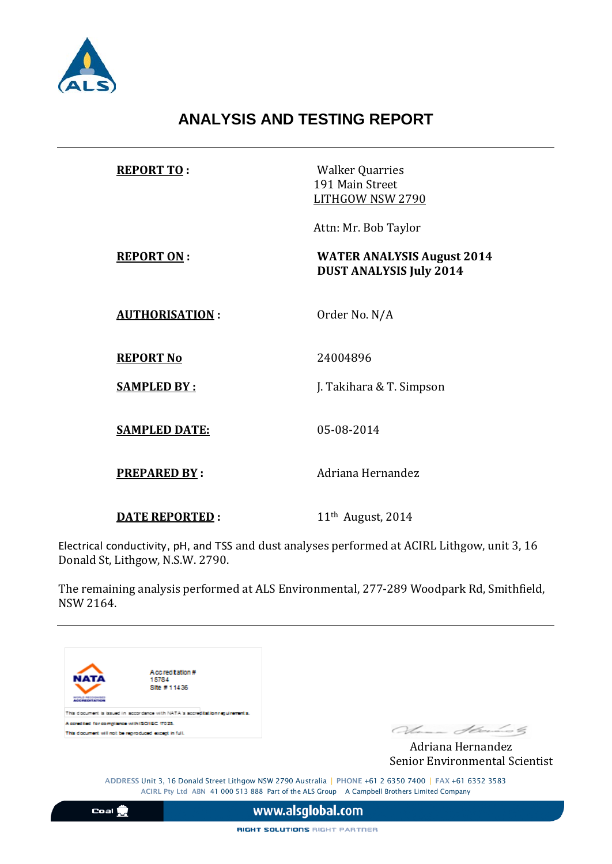

# **ANALYSIS AND TESTING REPORT**

| <b>REPORT TO:</b>     | <b>Walker Quarries</b><br>191 Main Street<br>LITHGOW NSW 2790       |
|-----------------------|---------------------------------------------------------------------|
|                       | Attn: Mr. Bob Taylor                                                |
| <b>REPORT ON:</b>     | <b>WATER ANALYSIS August 2014</b><br><b>DUST ANALYSIS July 2014</b> |
| <b>AUTHORISATION:</b> | Order No. N/A                                                       |
| <b>REPORT No</b>      | 24004896                                                            |
| <b>SAMPLED BY:</b>    | J. Takihara & T. Simpson                                            |
| <b>SAMPLED DATE:</b>  | 05-08-2014                                                          |
| <b>PREPARED BY:</b>   | Adriana Hernandez                                                   |
| <b>DATE REPORTED:</b> | 11 <sup>th</sup> August, 2014                                       |

Electrical conductivity, pH, and TSS and dust analyses performed at ACIRL Lithgow, unit 3, 16 Donald St, Lithgow, N.S.W. 2790.

The remaining analysis performed at ALS Environmental, 277-289 Woodpark Rd, Smithfield, NSW 2164.



Senior Environmental Scientist

ADDRESS Unit 3, 16 Donald Street Lithgow NSW 2790 Australia | PHONE +61 2 6350 7400 | FAX +61 6352 3583 ACIRL Pty Ltd ABN 41 000 513 888 Part of the ALS Group A Campbell Brothers Limited Company

RIGHT SOLUTIONS RIGHT PARTNER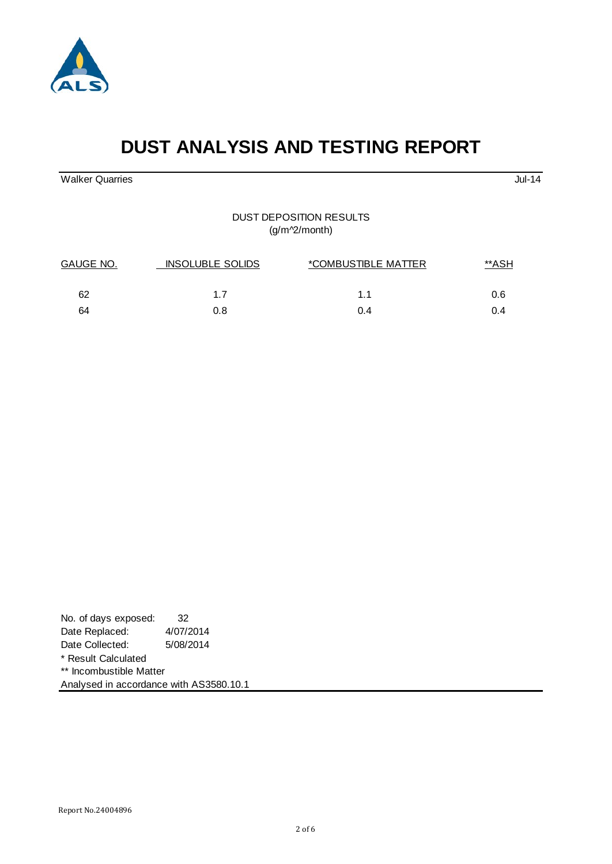



# **DUST ANALYSIS AND TESTING REPORT**

Walker Quarries Jul-14

#### DUST DEPOSITION RESULTS (g/m^2/month)

| GAUGE NO. | <b>INSOLUBLE SOLIDS</b> | <i>*COMBUSTIBLE MATTER</i> | <u>**ASH</u> |  |
|-----------|-------------------------|----------------------------|--------------|--|
| 62        | 1.7                     | 1.1                        | 0.6          |  |
| 64        | 0.8                     | 0.4                        | 0.4          |  |

| No. of days exposed:                    | 32        |  |  |
|-----------------------------------------|-----------|--|--|
| Date Replaced:                          | 4/07/2014 |  |  |
| Date Collected:                         | 5/08/2014 |  |  |
| * Result Calculated                     |           |  |  |
| ** Incombustible Matter                 |           |  |  |
| Analysed in accordance with AS3580.10.1 |           |  |  |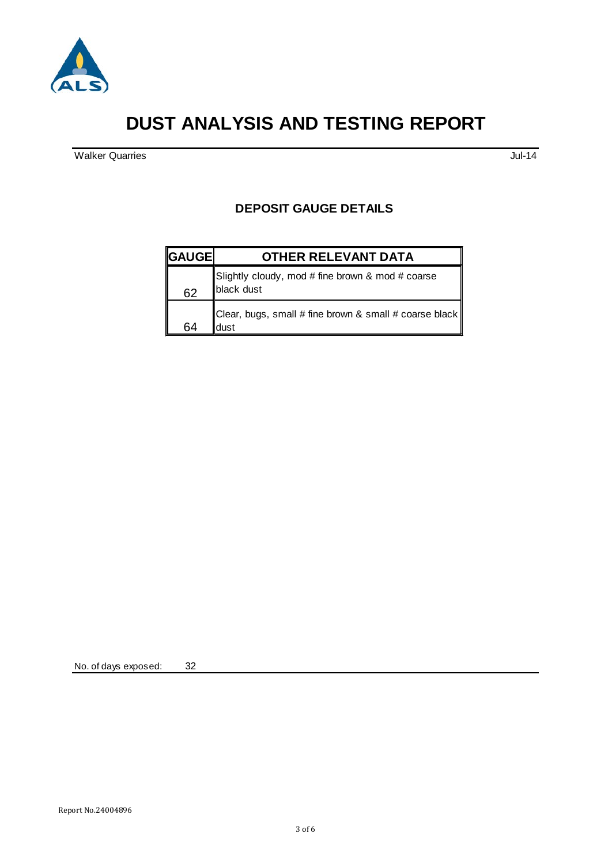

# **DUST ANALYSIS AND TESTING REPORT**

walker Quarries Jul-14

### **DEPOSIT GAUGE DETAILS**

| <b>GAUGE</b> | <b>OTHER RELEVANT DATA</b>                                       |
|--------------|------------------------------------------------------------------|
| 62           | Slightly cloudy, mod # fine brown & mod # coarse<br>black dust   |
| 64           | Clear, bugs, small # fine brown & small # coarse black  <br>dust |

No. of days exposed: 32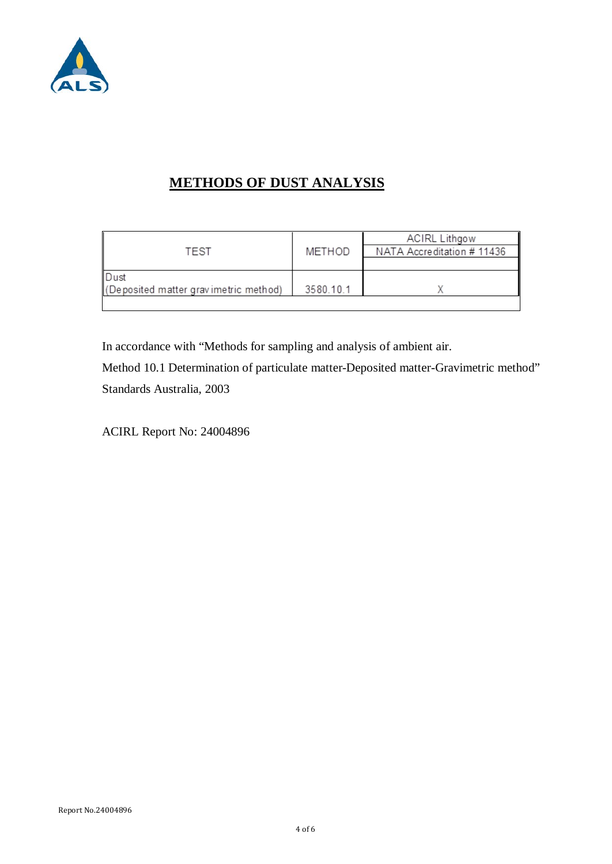

## **METHODS OF DUST ANALYSIS**

|                                       |           | <b>ACIRL Lithgow</b>       |
|---------------------------------------|-----------|----------------------------|
| TEST                                  | METHOD    | NATA Accreditation # 11436 |
|                                       |           |                            |
| ∣Dust                                 |           |                            |
| (Deposited matter gravimetric method) | 3580.10.1 |                            |
|                                       |           |                            |

In accordance with "Methods for sampling and analysis of ambient air.

Method 10.1 Determination of particulate matter-Deposited matter-Gravimetric method" Standards Australia, 2003

ACIRL Report No: 24004896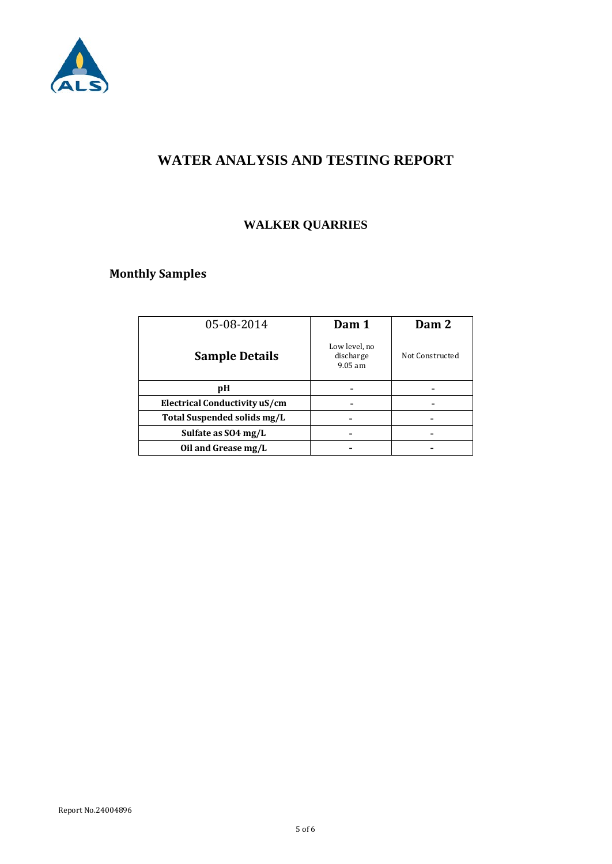

## **WATER ANALYSIS AND TESTING REPORT**

## **WALKER QUARRIES**

## **Monthly Samples**

| 05-08-2014                    | Dam 1                                   | Dam 2           |
|-------------------------------|-----------------------------------------|-----------------|
| <b>Sample Details</b>         | Low level, no<br>discharge<br>$9.05$ am | Not Constructed |
| pH                            |                                         |                 |
| Electrical Conductivity uS/cm |                                         |                 |
| Total Suspended solids mg/L   |                                         |                 |
| Sulfate as SO4 mg/L           |                                         |                 |
| Oil and Grease mg/L           |                                         |                 |
|                               |                                         |                 |